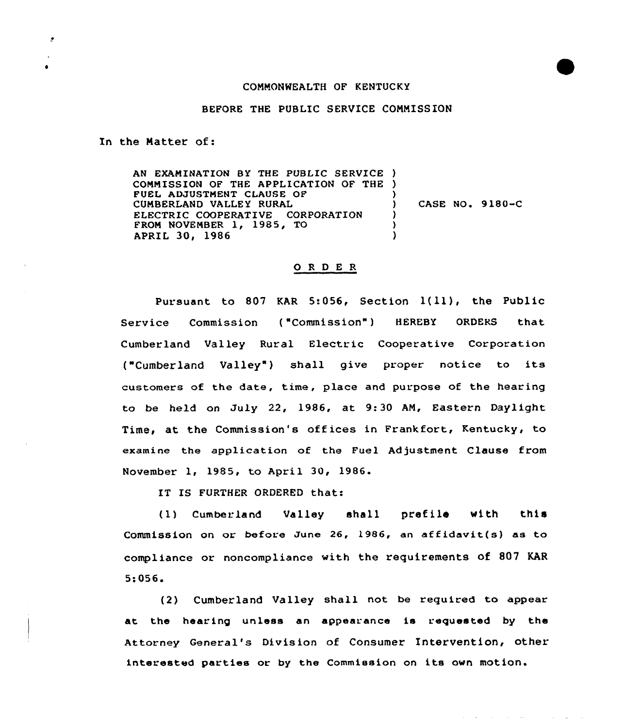## COMMONWEALTH OF KENTUCKY

## BEFORE THE PUBLIC SERVICE COMMISS ION

Xn the Matter of:

 $\cdot$ 

 $\bullet$ 

AN EXAMINATION BY THE PUBLIC SERVICE ) CONNISSION OF THE APPLICATION OP THE ) FUEL ADJUSTMENT CLAUSE OF CUMBERLAND VALLEY RURAL ELECTRIC COOPERATIVE CORPORATION PRON NOVEMBER 1, 1985, TO APRIL 30, 1986 ) ) CASE NO. 9180-C ) ) )

## ORDER

Pursuant to <sup>807</sup> KAR 5:056, Section l{ll), the Public Service Commission ("Commission") HEREBY ORDERS that Cumberland Valley Rural Electric Cooperative Corporation ("Cumberland Valley") shall give proper notice to its customers of the date, time, place and purpose of the hearing to be held on July 22, 1986, at 9:30 AM, Eastern Daylight Time, at the Commission's offices in Frankfort, Kentucky, to examine the application of the Fuel Adjustment Clause from November 1, 1985, to April 30, 1986.

IT IS FURTHER ORDERED that:

(1) Cumberland Valley shall prefile with this Commission on or before June 26, 1986, an affidavit(s) as to compliance or noncompliance with the requirements of 807 KAR 5:056.

(2) Cumberland Valley shall not be required to appear at the hearing unless an appearance is requested by the Attorney General's Division of Consumer Intervention, other interested parties or by the Commission on its own motion.

and a strategic control and the

**Contract**